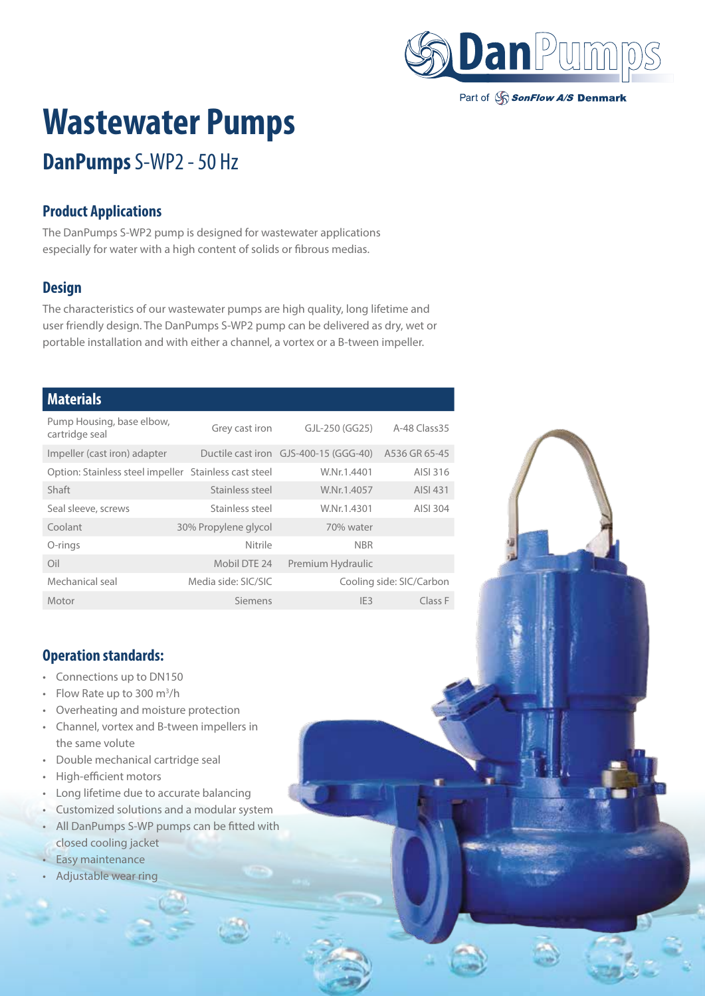

Part of SonFlow A/S Denmark

# **Wastewater Pumps**

## **DanPumps** S-WP2 - 50 Hz

#### **Product Applications**

The DanPumps S-WP2 pump is designed for wastewater applications especially for water with a high content of solids or fibrous medias.

#### **Design**

The characteristics of our wastewater pumps are high quality, long lifetime and user friendly design. The DanPumps S-WP2 pump can be delivered as dry, wet or portable installation and with either a channel, a vortex or a B-tween impeller.

#### **Materials**

| Pump Housing, base elbow,<br>cartridge seal           | Grey cast iron       | GJL-250 (GG25)                                      | A-48 Class 35            |
|-------------------------------------------------------|----------------------|-----------------------------------------------------|--------------------------|
| Impeller (cast iron) adapter                          |                      | Ductile cast iron GJS-400-15 (GGG-40) A536 GR 65-45 |                          |
| Option: Stainless steel impeller Stainless cast steel |                      | W.Nr.1.4401                                         | AISI 316                 |
| Shaft                                                 | Stainless steel      | W.Nr.1.4057                                         | AISI 431                 |
| Seal sleeve, screws                                   | Stainless steel      | W.Nr.1.4301                                         | AISI 304                 |
| Coolant                                               | 30% Propylene glycol | 70% water                                           |                          |
| O-rings                                               | Nitrile              | <b>NBR</b>                                          |                          |
| Oil                                                   | Mobil DTE 24         | Premium Hydraulic                                   |                          |
| Mechanical seal                                       | Media side: SIC/SIC  |                                                     | Cooling side: SIC/Carbon |
| Motor                                                 | Siemens              | IE <sub>3</sub>                                     | Class F                  |

#### **Operation standards:**

- Connections up to DN150
- Flow Rate up to 300 m<sup>3</sup>/h
- Overheating and moisture protection
- Channel, vortex and B-tween impellers in the same volute
- Double mechanical cartridge seal
- High-efficient motors
- Long lifetime due to accurate balancing
- Customized solutions and a modular system
- All DanPumps S-WP pumps can be fitted with closed cooling jacket
- Easy maintenance
- Adjustable wear ring